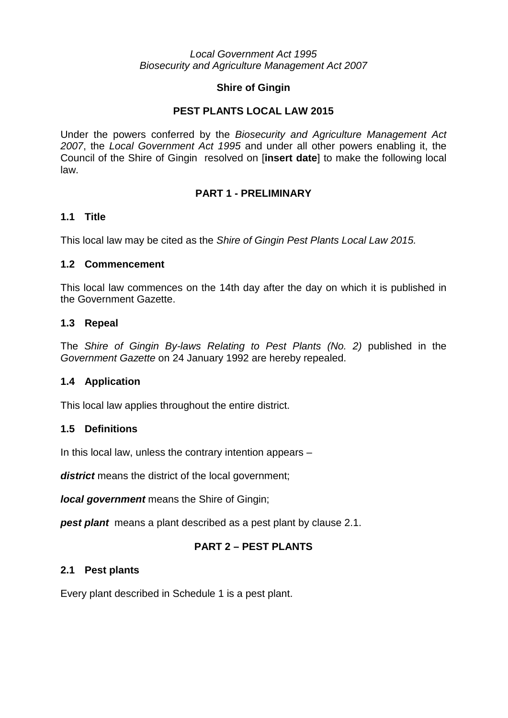#### *Local Government Act 1995 Biosecurity and Agriculture Management Act 2007*

## **Shire of Gingin**

# **PEST PLANTS LOCAL LAW 2015**

Under the powers conferred by the *Biosecurity and Agriculture Management Act 2007*, the *Local Government Act 1995* and under all other powers enabling it, the Council of the Shire of Gingin resolved on [**insert date**] to make the following local law.

## **PART 1 - PRELIMINARY**

## **1.1 Title**

This local law may be cited as the *Shire of Gingin Pest Plants Local Law 2015.*

## **1.2 Commencement**

This local law commences on the 14th day after the day on which it is published in the Government Gazette.

# **1.3 Repeal**

The *Shire of Gingin By-laws Relating to Pest Plants (No. 2)* published in the *Government Gazette* on 24 January 1992 are hereby repealed.

# **1.4 Application**

This local law applies throughout the entire district.

# **1.5 Definitions**

In this local law, unless the contrary intention appears –

**district** means the district of the local government;

*local government* means the Shire of Gingin;

**pest plant** means a plant described as a pest plant by clause 2.1.

# **PART 2 – PEST PLANTS**

#### **2.1 Pest plants**

Every plant described in Schedule 1 is a pest plant.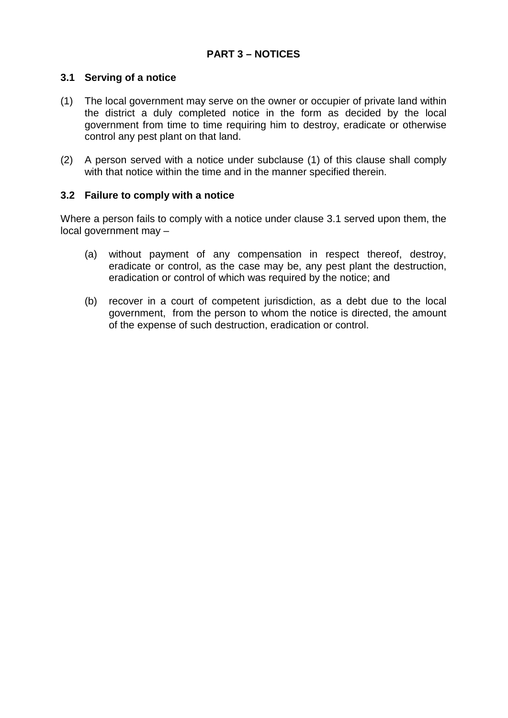## **3.1 Serving of a notice**

- (1) The local government may serve on the owner or occupier of private land within the district a duly completed notice in the form as decided by the local government from time to time requiring him to destroy, eradicate or otherwise control any pest plant on that land.
- (2) A person served with a notice under subclause (1) of this clause shall comply with that notice within the time and in the manner specified therein.

## **3.2 Failure to comply with a notice**

Where a person fails to comply with a notice under clause 3.1 served upon them, the local government may –

- (a) without payment of any compensation in respect thereof, destroy, eradicate or control, as the case may be, any pest plant the destruction, eradication or control of which was required by the notice; and
- (b) recover in a court of competent jurisdiction, as a debt due to the local government, from the person to whom the notice is directed, the amount of the expense of such destruction, eradication or control.